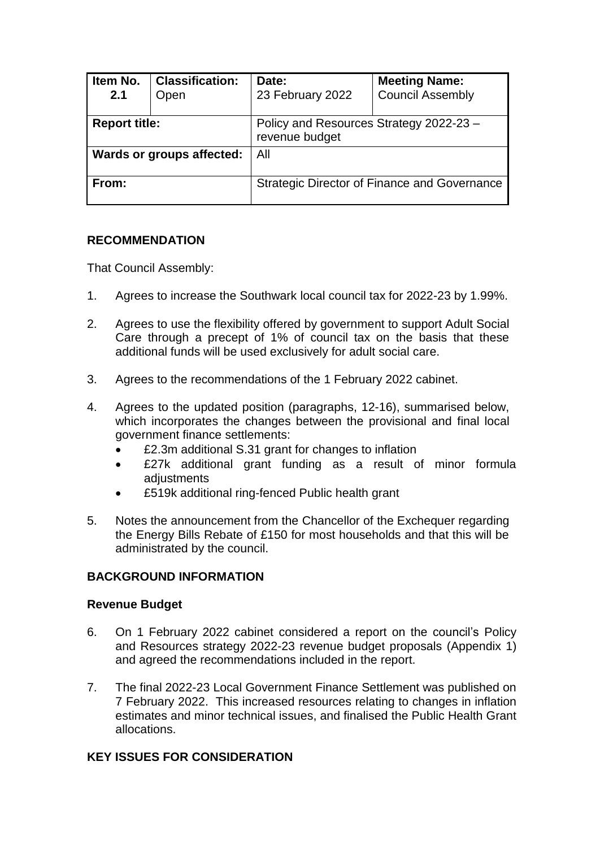| Item No.<br>2.1           | <b>Classification:</b><br>Open | Date:<br>23 February 2022                                 | <b>Meeting Name:</b><br><b>Council Assembly</b> |
|---------------------------|--------------------------------|-----------------------------------------------------------|-------------------------------------------------|
| <b>Report title:</b>      |                                | Policy and Resources Strategy 2022-23 -<br>revenue budget |                                                 |
| Wards or groups affected: |                                | All                                                       |                                                 |
| From:                     |                                | <b>Strategic Director of Finance and Governance</b>       |                                                 |

## **RECOMMENDATION**

That Council Assembly:

- 1. Agrees to increase the Southwark local council tax for 2022-23 by 1.99%.
- 2. Agrees to use the flexibility offered by government to support Adult Social Care through a precept of 1% of council tax on the basis that these additional funds will be used exclusively for adult social care.
- 3. Agrees to the recommendations of the 1 February 2022 cabinet.
- 4. Agrees to the updated position (paragraphs, 12-16), summarised below, which incorporates the changes between the provisional and final local government finance settlements:
	- £2.3m additional S.31 grant for changes to inflation
	- £27k additional grant funding as a result of minor formula adjustments
	- £519k additional ring-fenced Public health grant
- 5. Notes the announcement from the Chancellor of the Exchequer regarding the Energy Bills Rebate of £150 for most households and that this will be administrated by the council.

## **BACKGROUND INFORMATION**

#### **Revenue Budget**

- 6. On 1 February 2022 cabinet considered a report on the council's Policy and Resources strategy 2022-23 revenue budget proposals (Appendix 1) and agreed the recommendations included in the report.
- 7. The final 2022-23 Local Government Finance Settlement was published on 7 February 2022. This increased resources relating to changes in inflation estimates and minor technical issues, and finalised the Public Health Grant allocations.

## **KEY ISSUES FOR CONSIDERATION**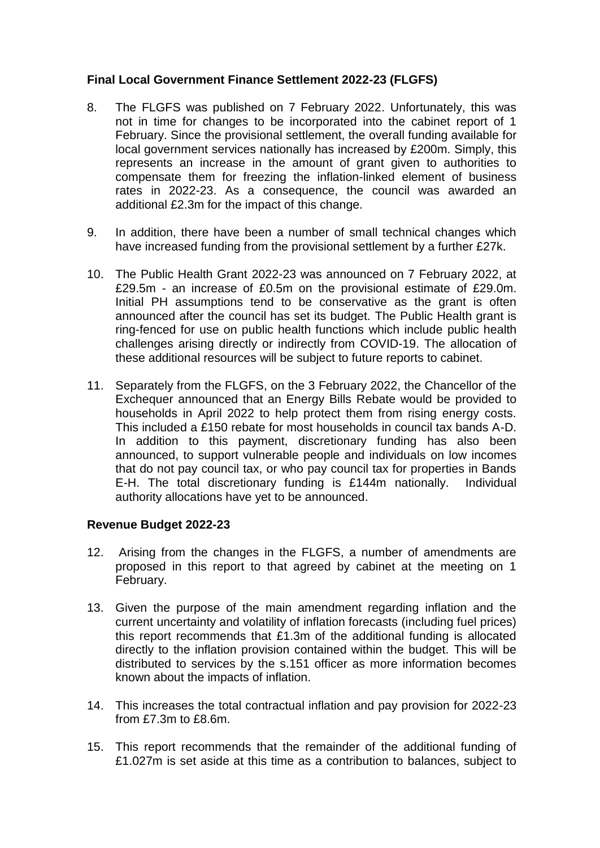## **Final Local Government Finance Settlement 2022-23 (FLGFS)**

- 8. The FLGFS was published on 7 February 2022. Unfortunately, this was not in time for changes to be incorporated into the cabinet report of 1 February. Since the provisional settlement, the overall funding available for local government services nationally has increased by £200m. Simply, this represents an increase in the amount of grant given to authorities to compensate them for freezing the inflation-linked element of business rates in 2022-23. As a consequence, the council was awarded an additional £2.3m for the impact of this change.
- 9. In addition, there have been a number of small technical changes which have increased funding from the provisional settlement by a further £27k.
- 10. The Public Health Grant 2022-23 was announced on 7 February 2022, at £29.5m - an increase of £0.5m on the provisional estimate of £29.0m. Initial PH assumptions tend to be conservative as the grant is often announced after the council has set its budget. The Public Health grant is ring-fenced for use on public health functions which include public health challenges arising directly or indirectly from COVID-19. The allocation of these additional resources will be subject to future reports to cabinet.
- 11. Separately from the FLGFS, on the 3 February 2022, the Chancellor of the Exchequer announced that an Energy Bills Rebate would be provided to households in April 2022 to help protect them from rising energy costs. This included a £150 rebate for most households in council tax bands A-D. In addition to this payment, discretionary funding has also been announced, to support vulnerable people and individuals on low incomes that do not pay council tax, or who pay council tax for properties in Bands E-H. The total discretionary funding is £144m nationally. Individual authority allocations have yet to be announced.

## **Revenue Budget 2022-23**

- 12. Arising from the changes in the FLGFS, a number of amendments are proposed in this report to that agreed by cabinet at the meeting on 1 February.
- 13. Given the purpose of the main amendment regarding inflation and the current uncertainty and volatility of inflation forecasts (including fuel prices) this report recommends that £1.3m of the additional funding is allocated directly to the inflation provision contained within the budget. This will be distributed to services by the s.151 officer as more information becomes known about the impacts of inflation.
- 14. This increases the total contractual inflation and pay provision for 2022-23 from £7.3m to £8.6m.
- 15. This report recommends that the remainder of the additional funding of £1.027m is set aside at this time as a contribution to balances, subject to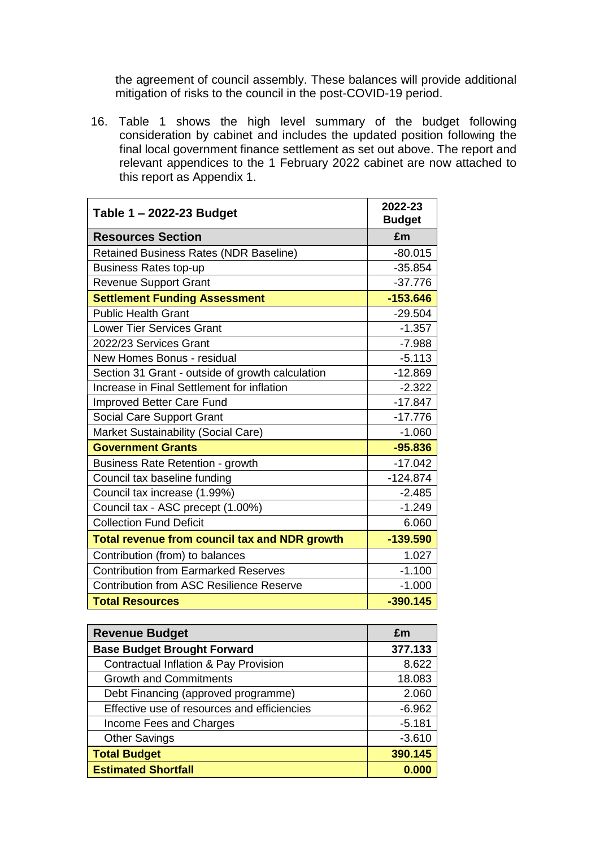the agreement of council assembly. These balances will provide additional mitigation of risks to the council in the post-COVID-19 period.

16. Table 1 shows the high level summary of the budget following consideration by cabinet and includes the updated position following the final local government finance settlement as set out above. The report and relevant appendices to the 1 February 2022 cabinet are now attached to this report as Appendix 1.

| Table 1 - 2022-23 Budget                             | 2022-23<br><b>Budget</b> |
|------------------------------------------------------|--------------------------|
| <b>Resources Section</b>                             | £m                       |
| <b>Retained Business Rates (NDR Baseline)</b>        | $-80.015$                |
| <b>Business Rates top-up</b>                         | $-35.854$                |
| <b>Revenue Support Grant</b>                         | $-37.776$                |
| <b>Settlement Funding Assessment</b>                 | $-153.646$               |
| <b>Public Health Grant</b>                           | $-29.504$                |
| <b>Lower Tier Services Grant</b>                     | $-1.357$                 |
| 2022/23 Services Grant                               | $-7.988$                 |
| New Homes Bonus - residual                           | $-5.113$                 |
| Section 31 Grant - outside of growth calculation     | $-12.869$                |
| Increase in Final Settlement for inflation           | $-2.322$                 |
| Improved Better Care Fund                            | $-17.847$                |
| Social Care Support Grant                            | $-17.776$                |
| Market Sustainability (Social Care)                  | $-1.060$                 |
| <b>Government Grants</b>                             | $-95.836$                |
| <b>Business Rate Retention - growth</b>              | $-17.042$                |
| Council tax baseline funding                         | $-124.874$               |
| Council tax increase (1.99%)                         | $-2.485$                 |
| Council tax - ASC precept (1.00%)                    | $-1.249$                 |
| <b>Collection Fund Deficit</b>                       | 6.060                    |
| <b>Total revenue from council tax and NDR growth</b> | $-139.590$               |
| Contribution (from) to balances                      | 1.027                    |
| <b>Contribution from Earmarked Reserves</b>          | $-1.100$                 |
| <b>Contribution from ASC Resilience Reserve</b>      | $-1.000$                 |
| <b>Total Resources</b>                               | $-390.145$               |

| <b>Revenue Budget</b>                       | £m       |
|---------------------------------------------|----------|
| <b>Base Budget Brought Forward</b>          | 377.133  |
| Contractual Inflation & Pay Provision       | 8.622    |
| <b>Growth and Commitments</b>               | 18.083   |
| Debt Financing (approved programme)         | 2.060    |
| Effective use of resources and efficiencies | $-6.962$ |
| Income Fees and Charges                     | $-5.181$ |
| <b>Other Savings</b>                        | $-3.610$ |
| <b>Total Budget</b>                         | 390.145  |
| <b>Estimated Shortfall</b>                  | 0.000    |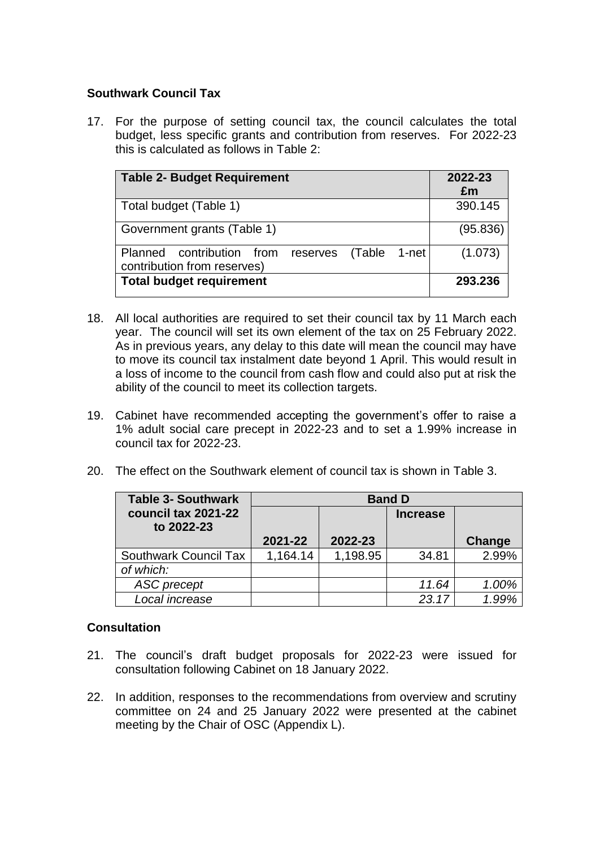## **Southwark Council Tax**

17. For the purpose of setting council tax, the council calculates the total budget, less specific grants and contribution from reserves. For 2022-23 this is calculated as follows in Table 2:

| <b>Table 2- Budget Requirement</b>                                                   | 2022-23<br>£m |
|--------------------------------------------------------------------------------------|---------------|
| Total budget (Table 1)                                                               | 390.145       |
| Government grants (Table 1)                                                          | (95.836)      |
| Planned contribution from<br>(Table 1-net<br>reserves<br>contribution from reserves) | (1.073)       |
| <b>Total budget requirement</b>                                                      | 293.236       |

- 18. All local authorities are required to set their council tax by 11 March each year. The council will set its own element of the tax on 25 February 2022. As in previous years, any delay to this date will mean the council may have to move its council tax instalment date beyond 1 April. This would result in a loss of income to the council from cash flow and could also put at risk the ability of the council to meet its collection targets.
- 19. Cabinet have recommended accepting the government's offer to raise a 1% adult social care precept in 2022-23 and to set a 1.99% increase in council tax for 2022-23.
- 20. The effect on the Southwark element of council tax is shown in Table 3.

| <b>Table 3- Southwark</b>         | <b>Band D</b> |          |                 |        |
|-----------------------------------|---------------|----------|-----------------|--------|
| council tax 2021-22<br>to 2022-23 |               |          | <b>Increase</b> |        |
|                                   | 2021-22       | 2022-23  |                 | Change |
| <b>Southwark Council Tax</b>      | 1,164.14      | 1,198.95 | 34.81           | 2.99%  |
| of which:                         |               |          |                 |        |
| <b>ASC</b> precept                |               |          | 11.64           | 1.00%  |
| Local increase                    |               |          | 23.17           |        |

## **Consultation**

- 21. The council's draft budget proposals for 2022-23 were issued for consultation following Cabinet on 18 January 2022.
- 22. In addition, responses to the recommendations from overview and scrutiny committee on 24 and 25 January 2022 were presented at the cabinet meeting by the Chair of OSC (Appendix L).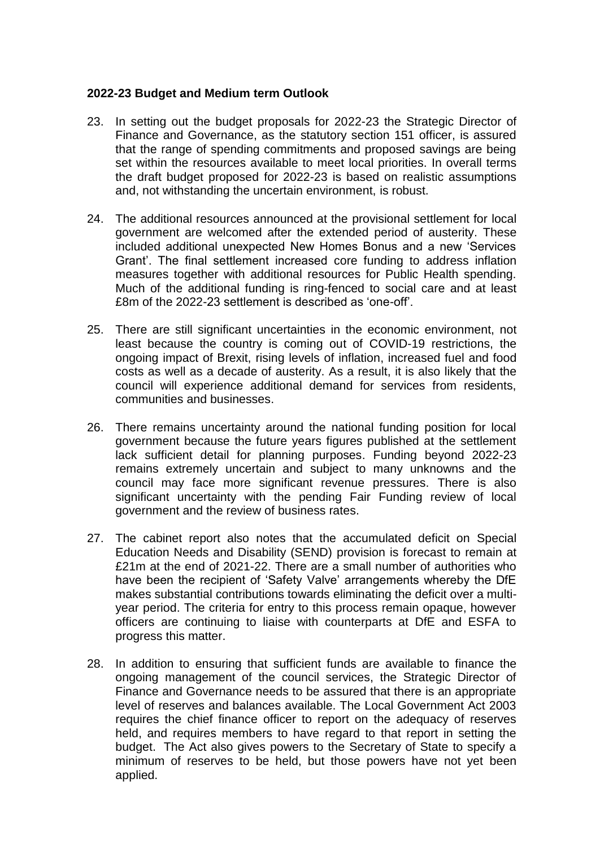### **2022-23 Budget and Medium term Outlook**

- 23. In setting out the budget proposals for 2022-23 the Strategic Director of Finance and Governance, as the statutory section 151 officer, is assured that the range of spending commitments and proposed savings are being set within the resources available to meet local priorities. In overall terms the draft budget proposed for 2022-23 is based on realistic assumptions and, not withstanding the uncertain environment, is robust.
- 24. The additional resources announced at the provisional settlement for local government are welcomed after the extended period of austerity. These included additional unexpected New Homes Bonus and a new 'Services Grant'. The final settlement increased core funding to address inflation measures together with additional resources for Public Health spending. Much of the additional funding is ring-fenced to social care and at least £8m of the 2022-23 settlement is described as 'one-off'.
- 25. There are still significant uncertainties in the economic environment, not least because the country is coming out of COVID-19 restrictions, the ongoing impact of Brexit, rising levels of inflation, increased fuel and food costs as well as a decade of austerity. As a result, it is also likely that the council will experience additional demand for services from residents, communities and businesses.
- 26. There remains uncertainty around the national funding position for local government because the future years figures published at the settlement lack sufficient detail for planning purposes. Funding beyond 2022-23 remains extremely uncertain and subject to many unknowns and the council may face more significant revenue pressures. There is also significant uncertainty with the pending Fair Funding review of local government and the review of business rates.
- 27. The cabinet report also notes that the accumulated deficit on Special Education Needs and Disability (SEND) provision is forecast to remain at £21m at the end of 2021-22. There are a small number of authorities who have been the recipient of 'Safety Valve' arrangements whereby the DfE makes substantial contributions towards eliminating the deficit over a multiyear period. The criteria for entry to this process remain opaque, however officers are continuing to liaise with counterparts at DfE and ESFA to progress this matter.
- 28. In addition to ensuring that sufficient funds are available to finance the ongoing management of the council services, the Strategic Director of Finance and Governance needs to be assured that there is an appropriate level of reserves and balances available. The Local Government Act 2003 requires the chief finance officer to report on the adequacy of reserves held, and requires members to have regard to that report in setting the budget. The Act also gives powers to the Secretary of State to specify a minimum of reserves to be held, but those powers have not yet been applied.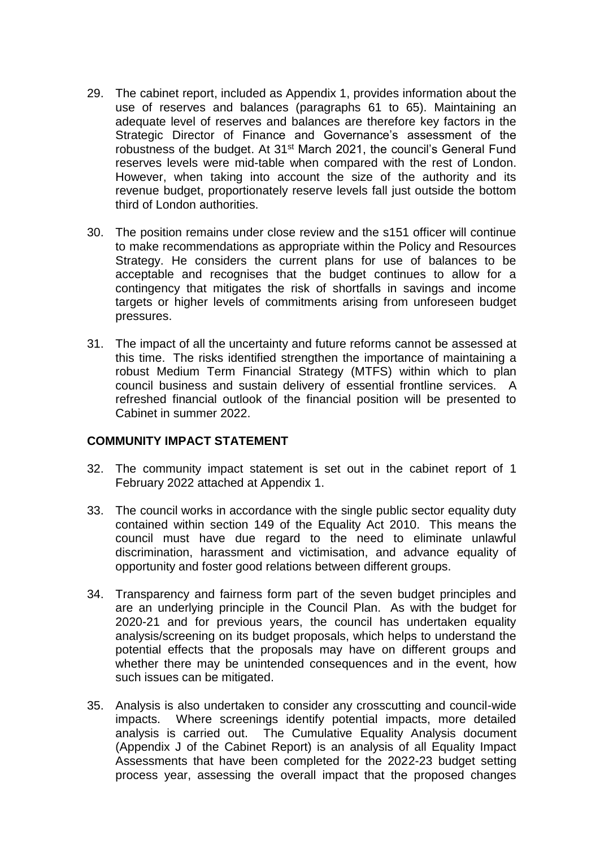- 29. The cabinet report, included as Appendix 1, provides information about the use of reserves and balances (paragraphs 61 to 65). Maintaining an adequate level of reserves and balances are therefore key factors in the Strategic Director of Finance and Governance's assessment of the robustness of the budget. At 31<sup>st</sup> March 2021, the council's General Fund reserves levels were mid-table when compared with the rest of London. However, when taking into account the size of the authority and its revenue budget, proportionately reserve levels fall just outside the bottom third of London authorities.
- 30. The position remains under close review and the s151 officer will continue to make recommendations as appropriate within the Policy and Resources Strategy. He considers the current plans for use of balances to be acceptable and recognises that the budget continues to allow for a contingency that mitigates the risk of shortfalls in savings and income targets or higher levels of commitments arising from unforeseen budget pressures.
- 31. The impact of all the uncertainty and future reforms cannot be assessed at this time. The risks identified strengthen the importance of maintaining a robust Medium Term Financial Strategy (MTFS) within which to plan council business and sustain delivery of essential frontline services. A refreshed financial outlook of the financial position will be presented to Cabinet in summer 2022.

## **COMMUNITY IMPACT STATEMENT**

- 32. The community impact statement is set out in the cabinet report of 1 February 2022 attached at Appendix 1.
- 33. The council works in accordance with the single public sector equality duty contained within section 149 of the Equality Act 2010. This means the council must have due regard to the need to eliminate unlawful discrimination, harassment and victimisation, and advance equality of opportunity and foster good relations between different groups.
- 34. Transparency and fairness form part of the seven budget principles and are an underlying principle in the Council Plan. As with the budget for 2020-21 and for previous years, the council has undertaken equality analysis/screening on its budget proposals, which helps to understand the potential effects that the proposals may have on different groups and whether there may be unintended consequences and in the event, how such issues can be mitigated.
- 35. Analysis is also undertaken to consider any crosscutting and council-wide impacts. Where screenings identify potential impacts, more detailed analysis is carried out. The Cumulative Equality Analysis document (Appendix J of the Cabinet Report) is an analysis of all Equality Impact Assessments that have been completed for the 2022-23 budget setting process year, assessing the overall impact that the proposed changes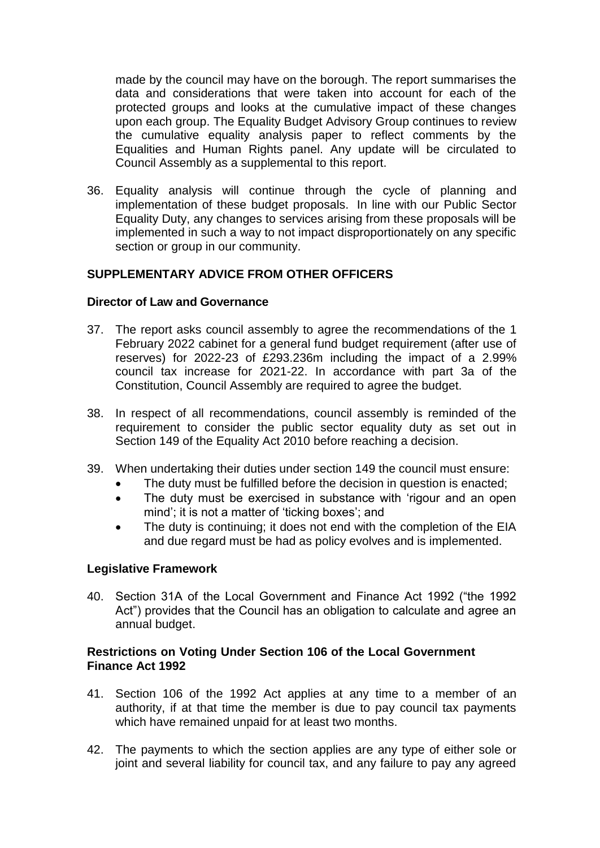made by the council may have on the borough. The report summarises the data and considerations that were taken into account for each of the protected groups and looks at the cumulative impact of these changes upon each group. The Equality Budget Advisory Group continues to review the cumulative equality analysis paper to reflect comments by the Equalities and Human Rights panel. Any update will be circulated to Council Assembly as a supplemental to this report.

36. Equality analysis will continue through the cycle of planning and implementation of these budget proposals. In line with our Public Sector Equality Duty, any changes to services arising from these proposals will be implemented in such a way to not impact disproportionately on any specific section or group in our community.

# **SUPPLEMENTARY ADVICE FROM OTHER OFFICERS**

### **Director of Law and Governance**

- 37. The report asks council assembly to agree the recommendations of the 1 February 2022 cabinet for a general fund budget requirement (after use of reserves) for 2022-23 of £293.236m including the impact of a 2.99% council tax increase for 2021-22. In accordance with part 3a of the Constitution, Council Assembly are required to agree the budget.
- 38. In respect of all recommendations, council assembly is reminded of the requirement to consider the public sector equality duty as set out in Section 149 of the Equality Act 2010 before reaching a decision.
- 39. When undertaking their duties under section 149 the council must ensure:
	- The duty must be fulfilled before the decision in question is enacted;
	- The duty must be exercised in substance with 'rigour and an open mind'; it is not a matter of 'ticking boxes'; and
	- The duty is continuing; it does not end with the completion of the EIA and due regard must be had as policy evolves and is implemented.

#### **Legislative Framework**

40. Section 31A of the Local Government and Finance Act 1992 ("the 1992 Act") provides that the Council has an obligation to calculate and agree an annual budget.

### **Restrictions on Voting Under Section 106 of the Local Government Finance Act 1992**

- 41. Section 106 of the 1992 Act applies at any time to a member of an authority, if at that time the member is due to pay council tax payments which have remained unpaid for at least two months.
- 42. The payments to which the section applies are any type of either sole or joint and several liability for council tax, and any failure to pay any agreed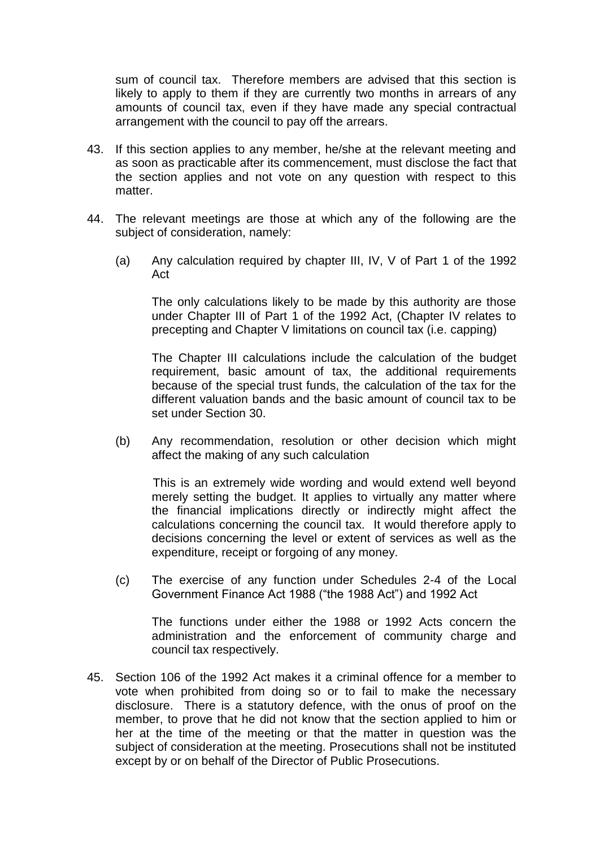sum of council tax. Therefore members are advised that this section is likely to apply to them if they are currently two months in arrears of any amounts of council tax, even if they have made any special contractual arrangement with the council to pay off the arrears.

- 43. If this section applies to any member, he/she at the relevant meeting and as soon as practicable after its commencement, must disclose the fact that the section applies and not vote on any question with respect to this matter.
- 44. The relevant meetings are those at which any of the following are the subject of consideration, namely:
	- (a) Any calculation required by chapter III, IV, V of Part 1 of the 1992 Act

The only calculations likely to be made by this authority are those under Chapter III of Part 1 of the 1992 Act, (Chapter IV relates to precepting and Chapter V limitations on council tax (i.e. capping)

The Chapter III calculations include the calculation of the budget requirement, basic amount of tax, the additional requirements because of the special trust funds, the calculation of the tax for the different valuation bands and the basic amount of council tax to be set under Section 30.

(b) Any recommendation, resolution or other decision which might affect the making of any such calculation

This is an extremely wide wording and would extend well beyond merely setting the budget. It applies to virtually any matter where the financial implications directly or indirectly might affect the calculations concerning the council tax. It would therefore apply to decisions concerning the level or extent of services as well as the expenditure, receipt or forgoing of any money.

(c) The exercise of any function under Schedules 2-4 of the Local Government Finance Act 1988 ("the 1988 Act") and 1992 Act

The functions under either the 1988 or 1992 Acts concern the administration and the enforcement of community charge and council tax respectively.

45. Section 106 of the 1992 Act makes it a criminal offence for a member to vote when prohibited from doing so or to fail to make the necessary disclosure. There is a statutory defence, with the onus of proof on the member, to prove that he did not know that the section applied to him or her at the time of the meeting or that the matter in question was the subject of consideration at the meeting. Prosecutions shall not be instituted except by or on behalf of the Director of Public Prosecutions.